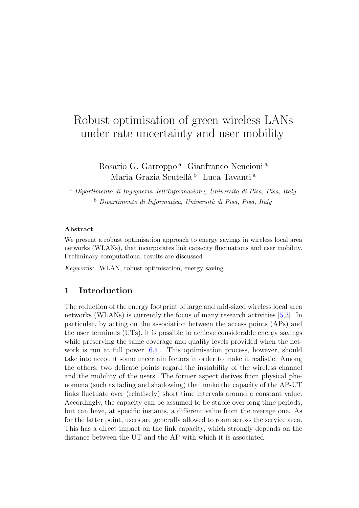# Robust optimisation of green wireless LANs under rate uncertainty and user mobility

Rosario G. Garroppo<sup>a</sup> Gianfranco Nencioni<sup>a</sup> Maria Grazia Scutellà <sup>b</sup> Luca Tavanti<sup>a</sup>

 $a$  Dipartimento di Ingegneria dell'Informazione, Università di Pisa, Pisa, Italy  $b$  Dipartimento di Informatica, Università di Pisa, Pisa, Italy

#### Abstract

We present a robust optimisation approach to energy savings in wireless local area networks (WLANs), that incorporates link capacity fluctuations and user mobility. Preliminary computational results are discussed.

Keywords: WLAN, robust optimisation, energy saving

## 1 Introduction

The reduction of the energy footprint of large and mid-sized wireless local area networks (WLANs) is currently the focus of many research activities [\[5,](#page-7-0)[3\]](#page-7-1). In particular, by acting on the association between the access points (APs) and the user terminals (UTs), it is possible to achieve considerable energy savings while preserving the same coverage and quality levels provided when the network is run at full power  $[6,4]$  $[6,4]$ . This optimisation process, however, should take into account some uncertain factors in order to make it realistic. Among the others, two delicate points regard the instability of the wireless channel and the mobility of the users. The former aspect derives from physical phenomena (such as fading and shadowing) that make the capacity of the AP-UT links fluctuate over (relatively) short time intervals around a constant value. Accordingly, the capacity can be assumed to be stable over long time periods, but can have, at specific instants, a different value from the average one. As for the latter point, users are generally allowed to roam across the service area. This has a direct impact on the link capacity, which strongly depends on the distance between the UT and the AP with which it is associated.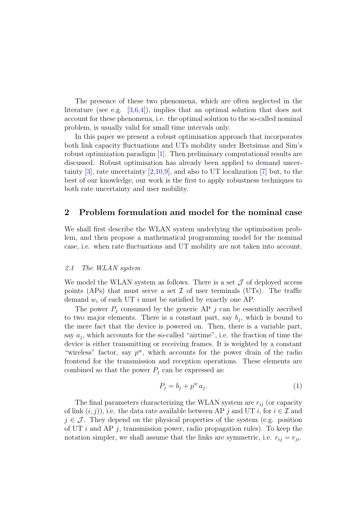The presence of these two phenomena, which are often neglected in the literature (see e.g.  $[3,6,4]$  $[3,6,4]$  $[3,6,4]$ ), implies that an optimal solution that does not account for these phenomena, i.e. the optimal solution to the so-called nominal problem, is usually valid for small time intervals only.

In this paper we present a robust optimisation approach that incorporates both link capacity fluctuations and UTs mobility under Bertsimas and Sim's robust optimization paradigm [\[1\]](#page-7-4). Then preliminary computational results are discussed. Robust optimisation has already been applied to demand uncertainty  $[3]$ , rate uncertainty  $[2,10,9]$  $[2,10,9]$  $[2,10,9]$ , and also to UT localization  $[7]$  but, to the best of our knowledge, our work is the first to apply robustness techniques to both rate uncertainty and user mobility.

## 2 Problem formulation and model for the nominal case

We shall first describe the WLAN system underlying the optimisation problem, and then propose a mathematical programming model for the nominal case, i.e. when rate fluctuations and UT mobility are not taken into account.

#### 2.1 The WLAN system

We model the WLAN system as follows. There is a set  $\mathcal J$  of deployed access points (APs) that must serve a set  $\mathcal I$  of user terminals (UTs). The traffic demand  $w_i$  of each UT i must be satisfied by exactly one AP.

The power  $P_j$  consumed by the generic AP j can be essentially ascribed to two major elements. There is a constant part, say  $b_j$ , which is bound to the mere fact that the device is powered on. Then, there is a variable part, say  $a_j$ , which accounts for the so-called "airtime", i.e. the fraction of time the device is either transmitting or receiving frames. It is weighted by a constant "wireless" factor, say  $p^w$ , which accounts for the power drain of the radio frontend for the transmission and reception operations. These elements are combined so that the power  $P_i$  can be expressed as:

$$
P_j = b_j + p^w a_j. \tag{1}
$$

The final parameters characterizing the WLAN system are  $r_{ij}$  (or capacity of link  $(i, j)$ , i.e. the data rate available between AP j and UT i, for  $i \in \mathcal{I}$  and  $j \in \mathcal{J}$ . They depend on the physical properties of the system (e.g. position of UT  $i$  and AP  $j$ , transmission power, radio propagation rules). To keep the notation simpler, we shall assume that the links are symmetric, i.e.  $r_{ij} = r_{ji}$ .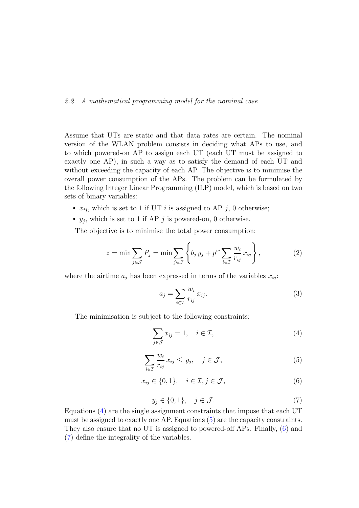#### <span id="page-2-4"></span>2.2 A mathematical programming model for the nominal case

Assume that UTs are static and that data rates are certain. The nominal version of the WLAN problem consists in deciding what APs to use, and to which powered-on AP to assign each UT (each UT must be assigned to exactly one AP), in such a way as to satisfy the demand of each UT and without exceeding the capacity of each AP. The objective is to minimise the overall power consumption of the APs. The problem can be formulated by the following Integer Linear Programming (ILP) model, which is based on two sets of binary variables:

- $x_{ij}$ , which is set to 1 if UT *i* is assigned to AP *j*, 0 otherwise;
- $y_j$ , which is set to 1 if AP j is powered-on, 0 otherwise.

The objective is to minimise the total power consumption:

$$
z = \min \sum_{j \in \mathcal{J}} P_j = \min \sum_{j \in \mathcal{J}} \left\{ b_j y_j + p^w \sum_{i \in \mathcal{I}} \frac{w_i}{r_{ij}} x_{ij} \right\},\tag{2}
$$

where the airtime  $a_j$  has been expressed in terms of the variables  $x_{ij}$ :

<span id="page-2-5"></span><span id="page-2-0"></span>
$$
a_j = \sum_{i \in \mathcal{I}} \frac{w_i}{r_{ij}} x_{ij}.
$$
\n
$$
(3)
$$

<span id="page-2-1"></span>The minimisation is subject to the following constraints:

$$
\sum_{j \in \mathcal{J}} x_{ij} = 1, \quad i \in \mathcal{I}, \tag{4}
$$

$$
\sum_{i \in \mathcal{I}} \frac{w_i}{r_{ij}} x_{ij} \le y_j, \quad j \in \mathcal{J}, \tag{5}
$$

$$
x_{ij} \in \{0, 1\}, \quad i \in \mathcal{I}, j \in \mathcal{J}, \tag{6}
$$

$$
y_j \in \{0, 1\}, \quad j \in \mathcal{J}.\tag{7}
$$

<span id="page-2-3"></span><span id="page-2-2"></span>Equations [\(4\)](#page-2-0) are the single assignment constraints that impose that each UT must be assigned to exactly one AP. Equations [\(5\)](#page-2-1) are the capacity constraints. They also ensure that no UT is assigned to powered-off APs. Finally, [\(6\)](#page-2-2) and [\(7\)](#page-2-3) define the integrality of the variables.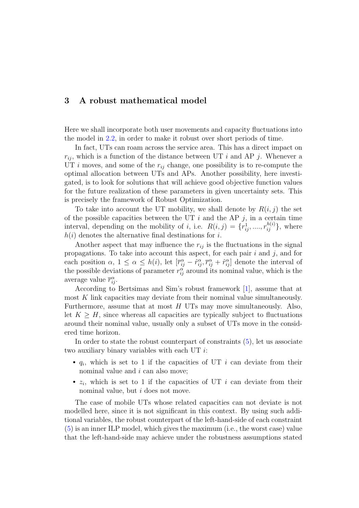## 3 A robust mathematical model

Here we shall incorporate both user movements and capacity fluctuations into the model in [2.2,](#page-2-4) in order to make it robust over short periods of time.

In fact, UTs can roam across the service area. This has a direct impact on  $r_{ij}$ , which is a function of the distance between UT i and AP j. Whenever a UT i moves, and some of the  $r_{ij}$  change, one possibility is to re-compute the optimal allocation between UTs and APs. Another possibility, here investigated, is to look for solutions that will achieve good objective function values for the future realization of these parameters in given uncertainty sets. This is precisely the framework of Robust Optimization.

To take into account the UT mobility, we shall denote by  $R(i, j)$  the set of the possible capacities between the UT  $i$  and the AP  $j$ , in a certain time interval, depending on the mobility of *i*, i.e.  $R(i, j) = \{r_{ij}^1, \ldots, r_{ij}^{h(i)}\}$ , where  $h(i)$  denotes the alternative final destinations for i.

Another aspect that may influence the  $r_{ij}$  is the fluctuations in the signal propagations. To take into account this aspect, for each pair  $i$  and  $j$ , and for each position  $\alpha$ ,  $1 \leq \alpha \leq h(i)$ , let  $[\bar{r}_{ij}^{\alpha} - \hat{r}_{ij}^{\alpha}, \bar{r}_{ij}^{\alpha} + \hat{r}_{ij}^{\alpha}]$  denote the interval of the possible deviations of parameter  $r_{ij}^{\alpha}$  around its nominal value, which is the average value  $\bar{r}_{ij}^{\alpha}$ .

According to Bertsimas and Sim's robust framework [\[1\]](#page-7-4), assume that at most  $K$  link capacities may deviate from their nominal value simultaneously. Furthermore, assume that at most  $H$  UTs may move simultaneously. Also, let  $K \geq H$ , since whereas all capacities are typically subject to fluctuations around their nominal value, usually only a subset of UTs move in the considered time horizon.

In order to state the robust counterpart of constraints [\(5\)](#page-2-1), let us associate two auxiliary binary variables with each UT  $i$ :

- $q_i$ , which is set to 1 if the capacities of UT i can deviate from their nominal value and i can also move;
- $z_i$ , which is set to 1 if the capacities of UT i can deviate from their nominal value, but  $i$  does not move.

The case of mobile UTs whose related capacities can not deviate is not modelled here, since it is not significant in this context. By using such additional variables, the robust counterpart of the left-hand-side of each constraint [\(5\)](#page-2-1) is an inner ILP model, which gives the maximum (i.e., the worst case) value that the left-hand-side may achieve under the robustness assumptions stated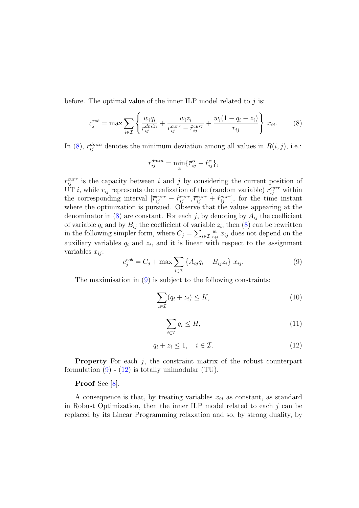before. The optimal value of the inner ILP model related to  $j$  is:

$$
c_j^{rob} = \max \sum_{i \in \mathcal{I}} \left\{ \frac{w_i q_i}{r_{ij}^{dmin}} + \frac{w_i z_i}{\overline{r}_{ij}^{curr} - \hat{r}_{ij}^{curr}} + \frac{w_i (1 - q_i - z_i)}{r_{ij}} \right\} x_{ij}.
$$
 (8)

In [\(8\)](#page-4-0),  $r_{ij}^{dmin}$  denotes the minimum deviation among all values in  $R(i, j)$ , i.e.:

<span id="page-4-0"></span>
$$
r_{ij}^{dmin} = \min_{\alpha} \{ \overline{r}_{ij}^{\alpha} - \hat{r}_{ij}^{\alpha} \},
$$

 $r_{ij}^{curr}$  is the capacity between i and j by considering the current position of UT *i*, while  $r_{ij}$  represents the realization of the (random variable)  $r_{ij}^{curr}$  within the corresponding interval  $[\bar{r}_{ij}^{curr} - \hat{r}_{ij}^{curr}, \bar{r}_{ij}^{curr} + \hat{r}_{ij}^{curr}]$ , for the time instant where the optimization is pursued. Observe that the values appearing at the denominator in [\(8\)](#page-4-0) are constant. For each j, by denoting by  $A_{ii}$  the coefficient of variable  $q_i$  and by  $B_{ij}$  the coefficient of variable  $z_i$ , then  $(8)$  can be rewritten in the following simpler form, where  $C_j = \sum_{i \in \mathcal{I}} \frac{w_i}{r_{ij}}$  $\frac{w_i}{r_{ij}} x_{ij}$  does not depend on the auxiliary variables  $q_i$  and  $z_i$ , and it is linear with respect to the assignment variables  $x_{ij}$ :

<span id="page-4-1"></span>
$$
c_j^{rob} = C_j + \max \sum_{i \in \mathcal{I}} \{ A_{ij} q_i + B_{ij} z_i \} \ x_{ij}.
$$
 (9)

The maximisation in [\(9\)](#page-4-1) is subject to the following constraints:

$$
\sum_{i \in \mathcal{I}} (q_i + z_i) \le K,\tag{10}
$$

$$
\sum_{i \in \mathcal{I}} q_i \le H,\tag{11}
$$

$$
q_i + z_i \le 1, \quad i \in \mathcal{I}.\tag{12}
$$

<span id="page-4-2"></span>**Property** For each  $j$ , the constraint matrix of the robust counterpart formulation  $(9)$  -  $(12)$  is totally unimodular  $(TU)$ .

## Proof See [\[8\]](#page-7-9).

A consequence is that, by treating variables  $x_{ij}$  as constant, as standard in Robust Optimization, then the inner ILP model related to each  $j$  can be replaced by its Linear Programming relaxation and so, by strong duality, by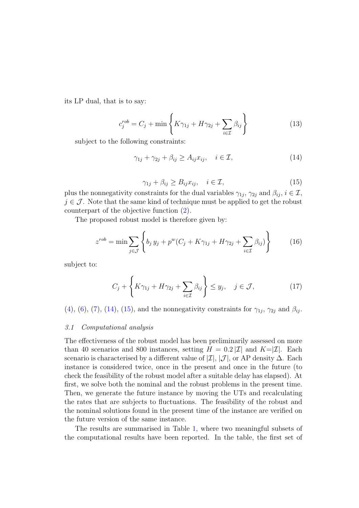its LP dual, that is to say:

$$
c_j^{rob} = C_j + \min\left\{ K\gamma_{1j} + H\gamma_{2j} + \sum_{i \in \mathcal{I}} \beta_{ij} \right\} \tag{13}
$$

subject to the following constraints:

<span id="page-5-0"></span>
$$
\gamma_{1j} + \gamma_{2j} + \beta_{ij} \ge A_{ij} x_{ij}, \quad i \in \mathcal{I}, \tag{14}
$$

$$
\gamma_{1j} + \beta_{ij} \ge B_{ij} x_{ij}, \quad i \in \mathcal{I}, \tag{15}
$$

<span id="page-5-1"></span>plus the nonnegativity constraints for the dual variables  $\gamma_{1j}$ ,  $\gamma_{2j}$  and  $\beta_{ij}$ ,  $i \in \mathcal{I}$ ,  $j \in \mathcal{J}$ . Note that the same kind of technique must be applied to get the robust counterpart of the objective function [\(2\)](#page-2-5).

The proposed robust model is therefore given by:

$$
z^{rob} = \min \sum_{j \in \mathcal{J}} \left\{ b_j y_j + p^w (C_j + K\gamma_{1j} + H\gamma_{2j} + \sum_{i \in \mathcal{I}} \beta_{ij}) \right\} \tag{16}
$$

subject to:

$$
C_j + \left\{ K\gamma_{1j} + H\gamma_{2j} + \sum_{i \in \mathcal{I}} \beta_{ij} \right\} \le y_j, \quad j \in \mathcal{J}, \tag{17}
$$

[\(4\)](#page-2-0), [\(6\)](#page-2-2), [\(7\)](#page-2-3), [\(14\)](#page-5-0), [\(15\)](#page-5-1), and the nonnegativity constraints for  $\gamma_{1j}$ ,  $\gamma_{2j}$  and  $\beta_{ij}$ .

#### 3.1 Computational analysis

The effectiveness of the robust model has been preliminarily assessed on more than 40 scenarios and 800 instances, setting  $H = 0.2 |\mathcal{I}|$  and  $K = |\mathcal{I}|$ . Each scenario is characterised by a different value of  $|\mathcal{I}|, |\mathcal{J}|$ , or AP density  $\Delta$ . Each instance is considered twice, once in the present and once in the future (to check the feasibility of the robust model after a suitable delay has elapsed). At first, we solve both the nominal and the robust problems in the present time. Then, we generate the future instance by moving the UTs and recalculating the rates that are subjects to fluctuations. The feasibility of the robust and the nominal solutions found in the present time of the instance are verified on the future version of the same instance.

The results are summarised in Table [1,](#page-6-0) where two meaningful subsets of the computational results have been reported. In the table, the first set of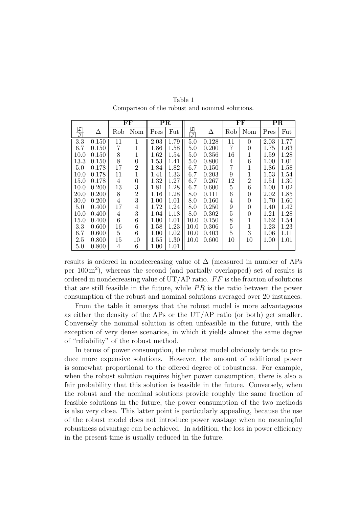<span id="page-6-0"></span>

|                                             |       |                 | FF             |      | $_{\rm PR}$ |                                             |       |                | $_{\rm FF}$    |                   | $\overline{\mathrm{PR}}$ |  |
|---------------------------------------------|-------|-----------------|----------------|------|-------------|---------------------------------------------|-------|----------------|----------------|-------------------|--------------------------|--|
| $ \mathcal{I} $<br>$\overline{\mathcal{J}}$ | Δ     | Rob             | Nom            | Pres | Fut         | $ \mathcal{I} $<br>$\overline{\mathcal{J}}$ | Δ     | Rob            | Nom            | Pres              | Fut                      |  |
| $\overline{3.3}$                            | 0.150 | $\overline{11}$ | 1              | 2.03 | 1.79        | 5.0                                         | 0.128 | 11             | $\theta$       | $\overline{2.03}$ | 1.77                     |  |
| 6.7                                         | 0.150 | 7               | 1              | 1.86 | 1.58        | 5.0                                         | 0.200 | 7              | 0              | 1.75              | 1.63                     |  |
| 10.0                                        | 0.150 | 8               | 1              | 1.62 | 1.54        | 5.0                                         | 0.356 | 16             | 1              | 1.59              | 1.28                     |  |
| 13.3                                        | 0.150 | 8               | 0              | 1.53 | 1.41        | 5.0                                         | 0.800 | 4              | 6              | 1.00              | 1.01                     |  |
| 5.0                                         | 0.178 | 17              | 2              | 1.84 | 1.82        | 6.7                                         | 0.150 | 7              |                | 1.86              | 1.58                     |  |
| 10.0                                        | 0.178 | 11              | $\mathbf{1}$   | 1.41 | 1.33        | 6.7                                         | 0.203 | 9              |                | 1.53              | 1.54                     |  |
| 15.0                                        | 0.178 | 4               | 0              | 1.32 | 1.27        | 6.7                                         | 0.267 | 12             | $\overline{2}$ | 1.51              | 1.30                     |  |
| 10.0                                        | 0.200 | 13              | 3              | 1.81 | 1.28        | 6.7                                         | 0.600 | 5              | 6              | 1.00              | 1.02                     |  |
| 20.0                                        | 0.200 | 8               | $\overline{2}$ | 1.16 | 1.28        | 8.0                                         | 0.111 | 6              | 0              | 2.02              | 1.85                     |  |
| 30.0                                        | 0.200 | 4               | 3              | 1.00 | 1.01        | 8.0                                         | 0.160 | 4              | 0              | 1.70              | 1.60                     |  |
| 5.0                                         | 0.400 | 17              | $\overline{4}$ | 1.72 | 1.24        | 8.0                                         | 0.250 | 9              | 0              | 1.40              | 1.42                     |  |
| 10.0                                        | 0.400 | 4               | 3              | 1.04 | 1.18        | 8.0                                         | 0.302 | 5              | 0              | 1.21              | 1.28                     |  |
| 15.0                                        | 0.400 | 6               | 6              | 1.00 | 1.01        | 10.0                                        | 0.150 | 8              |                | 1.62              | 1.54                     |  |
| 3.3                                         | 0.600 | 16              | 6              | 1.58 | 1.23        | 10.0                                        | 0.306 | $\overline{5}$ |                | 1.23              | 1.23                     |  |
| 6.7                                         | 0.600 | 5               | 6              | 1.00 | 1.02        | 10.0                                        | 0.403 | 5              | 3              | 1.06              | 1.11                     |  |
| 2.5                                         | 0.800 | 15              | $10\,$         | 1.55 | 1.30        | 10.0                                        | 0.600 | 10             | 10             | 1.00              | 1.01                     |  |
| 5.0                                         | 0.800 | 4               | 6              | 1.00 | 1.01        |                                             |       |                |                |                   |                          |  |

Table 1 Comparison of the robust and nominal solutions.

results is ordered in nondecreasing value of  $\Delta$  (measured in number of APs per 100 m<sup>2</sup> ), whereas the second (and partially overlapped) set of results is ordered in nondecreasing value of  $UT/AP$  ratio.  $FF$  is the fraction of solutions that are still feasible in the future, while  $PR$  is the ratio between the power consumption of the robust and nominal solutions averaged over 20 instances.

From the table it emerges that the robust model is more advantageous as either the density of the APs or the  $UT/AP$  ratio (or both) get smaller. Conversely the nominal solution is often unfeasible in the future, with the exception of very dense scenarios, in which it yields almost the same degree of "reliability" of the robust method.

In terms of power consumption, the robust model obviously tends to produce more expensive solutions. However, the amount of additional power is somewhat proportional to the offered degree of robustness. For example, when the robust solution requires higher power consumption, there is also a fair probability that this solution is feasible in the future. Conversely, when the robust and the nominal solutions provide roughly the same fraction of feasible solutions in the future, the power consumption of the two methods is also very close. This latter point is particularly appealing, because the use of the robust model does not introduce power wastage when no meaningful robustness advantage can be achieved. In addition, the loss in power efficiency in the present time is usually reduced in the future.